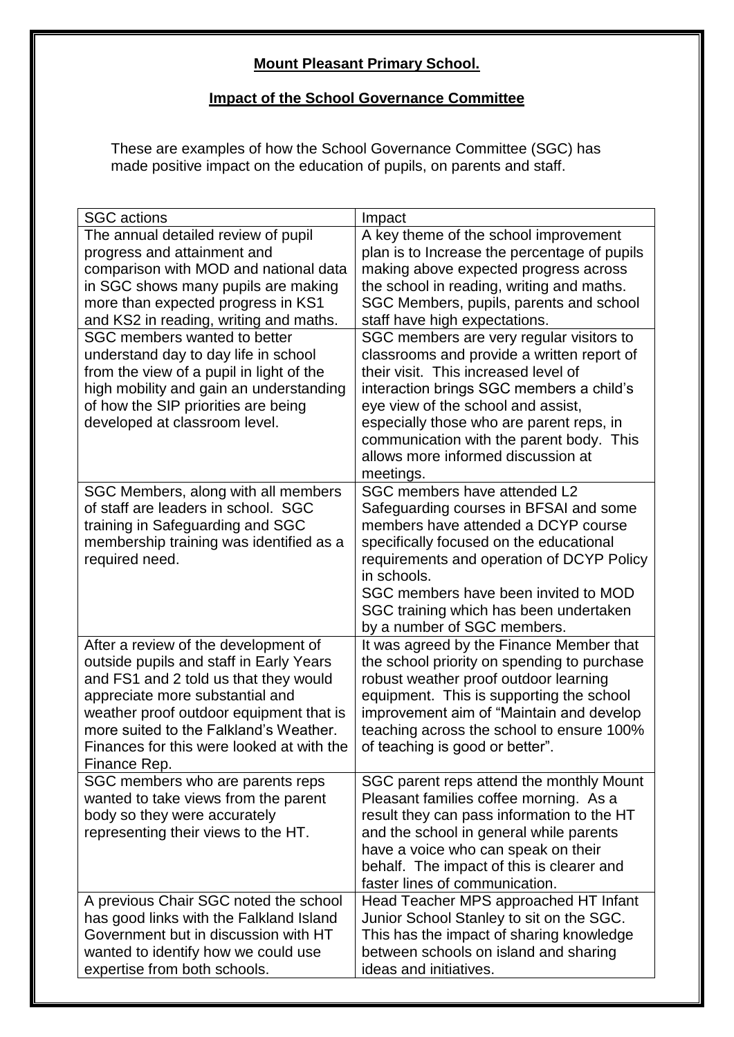## **Mount Pleasant Primary School.**

## **Impact of the School Governance Committee**

These are examples of how the School Governance Committee (SGC) has made positive impact on the education of pupils, on parents and staff.

| <b>SGC</b> actions                                        | Impact                                                   |
|-----------------------------------------------------------|----------------------------------------------------------|
| The annual detailed review of pupil                       | A key theme of the school improvement                    |
| progress and attainment and                               | plan is to Increase the percentage of pupils             |
| comparison with MOD and national data                     | making above expected progress across                    |
| in SGC shows many pupils are making                       | the school in reading, writing and maths.                |
| more than expected progress in KS1                        | SGC Members, pupils, parents and school                  |
| and KS2 in reading, writing and maths.                    | staff have high expectations.                            |
| SGC members wanted to better                              | SGC members are very regular visitors to                 |
| understand day to day life in school                      | classrooms and provide a written report of               |
| from the view of a pupil in light of the                  | their visit. This increased level of                     |
| high mobility and gain an understanding                   | interaction brings SGC members a child's                 |
| of how the SIP priorities are being                       | eye view of the school and assist,                       |
| developed at classroom level.                             | especially those who are parent reps, in                 |
|                                                           | communication with the parent body. This                 |
|                                                           | allows more informed discussion at                       |
|                                                           | meetings.                                                |
| SGC Members, along with all members                       | SGC members have attended L2                             |
| of staff are leaders in school. SGC                       | Safeguarding courses in BFSAI and some                   |
| training in Safeguarding and SGC                          | members have attended a DCYP course                      |
| membership training was identified as a<br>required need. | specifically focused on the educational                  |
|                                                           | requirements and operation of DCYP Policy<br>in schools. |
|                                                           | SGC members have been invited to MOD                     |
|                                                           | SGC training which has been undertaken                   |
|                                                           | by a number of SGC members.                              |
| After a review of the development of                      | It was agreed by the Finance Member that                 |
| outside pupils and staff in Early Years                   | the school priority on spending to purchase              |
| and FS1 and 2 told us that they would                     | robust weather proof outdoor learning                    |
| appreciate more substantial and                           | equipment. This is supporting the school                 |
| weather proof outdoor equipment that is                   | improvement aim of "Maintain and develop                 |
| more suited to the Falkland's Weather.                    | teaching across the school to ensure 100%                |
| Finances for this were looked at with the                 | of teaching is good or better".                          |
| Finance Rep.                                              |                                                          |
| SGC members who are parents reps                          | SGC parent reps attend the monthly Mount                 |
| wanted to take views from the parent                      | Pleasant families coffee morning. As a                   |
| body so they were accurately                              | result they can pass information to the HT               |
| representing their views to the HT.                       | and the school in general while parents                  |
|                                                           | have a voice who can speak on their                      |
|                                                           | behalf. The impact of this is clearer and                |
|                                                           | faster lines of communication.                           |
| A previous Chair SGC noted the school                     | Head Teacher MPS approached HT Infant                    |
| has good links with the Falkland Island                   | Junior School Stanley to sit on the SGC.                 |
| Government but in discussion with HT                      | This has the impact of sharing knowledge                 |
| wanted to identify how we could use                       | between schools on island and sharing                    |
| expertise from both schools.                              | ideas and initiatives.                                   |